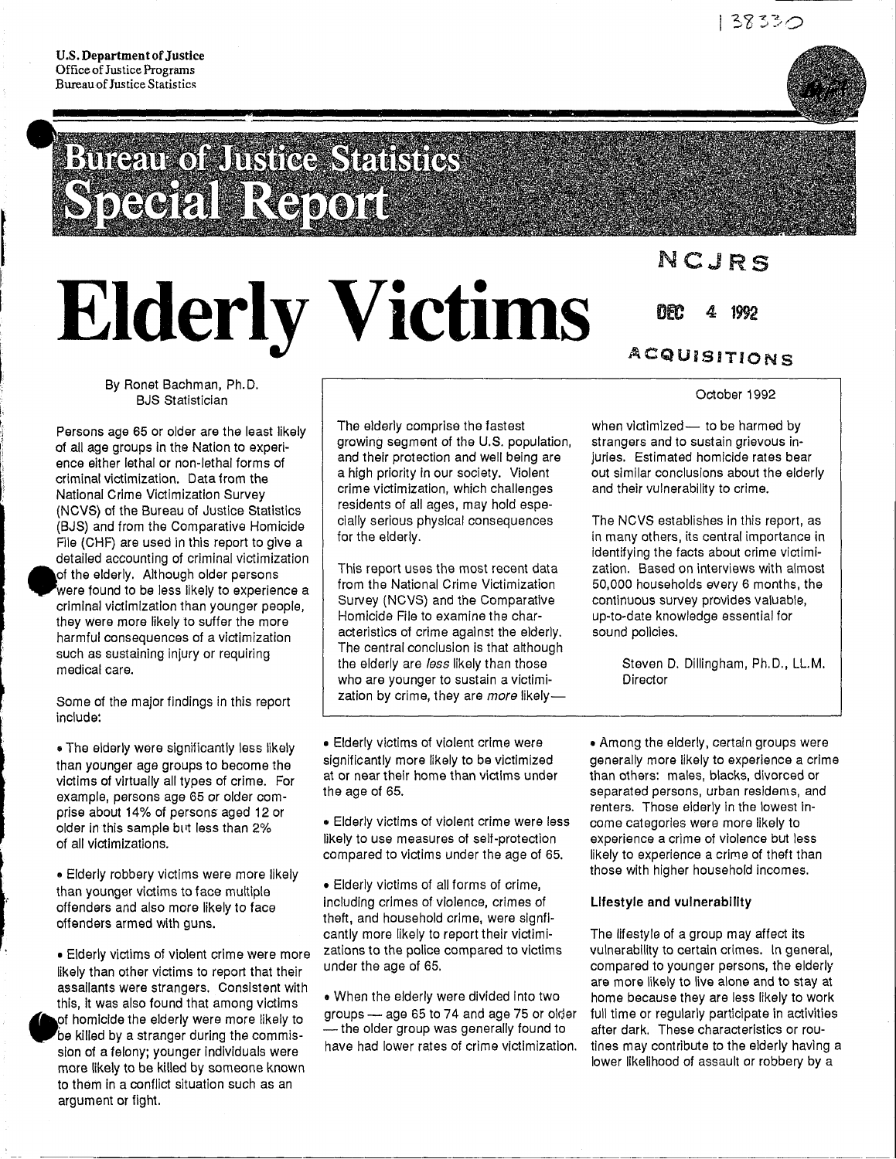I

I I

i<br>international

**International** i:  $\vdots$ '-. 1

•

•

## **Bineur of Insine Standard DEGRIE REFORM**

# **Elderly Victims**

## NCJRS

DEC 4: 1992

### ACQUiSITIONS

By Ronet Bachman, Ph.D. BJS Statistician

Persons age 65 or older are the least likely of all age groups in the Nation to experience either lethal or non-lethal forms of criminal victimization. Data from the National Crime Victimization Survey (NCVS) of the Bureau of Justice Statistics (BJS) and from the Comparative Homicide File (CHF) are used in this report to give a detailed accounting of criminal victimization of the elderly. Although older persons were found to be less likely to experience a criminal victimization than younger people, they were more likely to suffer the more harmful consequences of a victimization such as sustaining injury or requiring medical care.

Some of the major findings in this report include:

• The elderly were significantly less likely than younger age groups to become the victims of virtually all types of crime. For example, persons age 65 or older comprise about 14% of persons aged 12 or older in this sample but less than 2% of all victimizations.

.. Elderly robbery victims were more likely than younger victims to face multiple offenders and also more likely to face offenders armed with guns.

• Elderly victims of violent crime were more likely than other victims to report that their assailants were strangers. Consistent with this, it was also found that among victims of homicide the elderly were more likely to be killed by a stranger during the commission of a felony; younger individuals were more likely to be killed by someone known to them in a conflict situation such as an argument or fight.

---------------------------------------

The elderly comprise the fastest growing segment of the U.S. population, and their protection and well being are a high priority in our society. Violent crime victimization, which challenges residents of all ages, may hold especially serious physical consequences for the elderly.

This report uses the most recent data from the National Crime Victimization Survey (NCVS) and the Comparative Homicide File to examine the characteristics of crime against the elderly. The central conclusion is that although the elderly are less likely than those who are younger to sustain a victimization by crime, they are more likely-

• Elderly victims of violent crime were significantly more likely to be victimized at or near their home than victims under the age of 65.

• Elderly victims of violent crime were less likely to use measures of self-protection compared to victims under the age of 65.

• Elderly victims of all forms of crime, including crimes of violence, crimes of theft, and household crime, were signficantly more likely to report their victimizations to the police compared to victims under the age of 65.

.. When the elderly were divided Into two groups - age 65 to 74 and age 75 or older - the older group was generally found to have had lower rates of crime victimization. October 1992

when victimized- to be harmed by strangers and to sustain grievous injuries. Estimated homicide rates bear out similar conclusions about the elderly and their vulnerability to crime.

The NCVS establishes in this report, as in many others, its central importance in identifying the facts about crime victimization. Based on interviews with almost 50,000 households every 6 months, the continuous survey provides valuable, up-to-date knowledge essential for sound policies.

> Steven D. Dillingham, Ph.D., LL.M. Director

• Among the elderly, certain groups were generally more likely to experience a crime than others: males, blacks, divorced or separated persons, urban residents, and renters. Those elderly in the lowest income categories were more likely to experience a crime of violence but less likely to experience a crime of theft than those with higher household incomes.

#### Lifestyle and vulnerability

The lifestyle of a group may affect its vulnerability to certain crimes. In general, compared to younger persons, the elderly are more likely to live alone and to stay at home because they are less likely to work full time or regularly participate in activities after dark. These characteristics or routines may contribute to the elderly having a lower likelihood of assault or robbery by a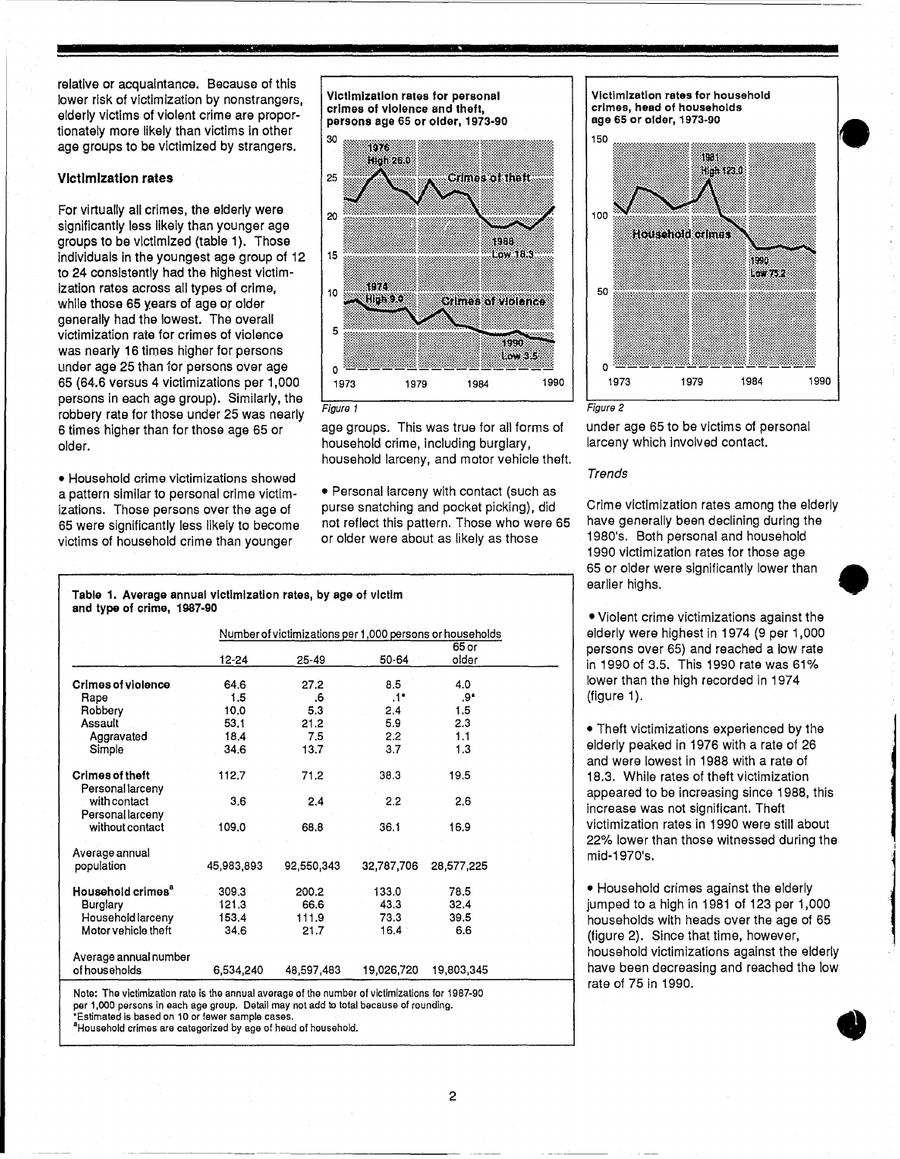relative or acquaintance. Because of this lower risk of victimization by nonstrangers, elderly victims of violent crime are proportionately more likely than victims in other age groups to be victimized by strangers.

#### Victimization rates

For virtually all crimes, the elderly were significantly less likely than younger age groups to be victimized (table 1). Those individuals in the youngest age group of 12 to 24 consistently had the highest victimization rates across all types of crime, while those 65 years of age or older generally had the lowest. The overall victimization rate for crimes of violence was nearly 16 times higher for persons under age 25 than 10r persons over age persons in each age group). Similarly, the robbery rate for those under 25 was nearly 6 times higher than for those age 65 or older.

• Household crime victimizations showed a pattern similar to personal crime victimizations. Those persons over the age of 65 were significantly less likely to become victims of household crime than younger

Victimization rates tor personal crimes ot violence and theft, persons age 65 or older, 1973-90



age groups. This was true for all forms of household crime, including burglary, household larceny, and motor vehicle theft.

• Personal larceny with contact (such as purse snatching and pocket picking), did not reflect this pattern. Those who were 65 or older were about as likely as those

Table 1. Average annual victimization rates, by age of victim and typo of crime, 1987-90

|                                            | Number of victimizations per 1,000 persons or households |            |               |                  |  |  |  |
|--------------------------------------------|----------------------------------------------------------|------------|---------------|------------------|--|--|--|
|                                            | 12-24                                                    | 25-49      | 50-64         | $65$ or<br>older |  |  |  |
|                                            |                                                          |            |               |                  |  |  |  |
| Crimes of violence                         | 64.6                                                     | 27.2       | 8.5           | 4.0              |  |  |  |
| Rape                                       | 1.5                                                      | .6         | $.1^*$        | ∗9.              |  |  |  |
| Robbery                                    | 10.0                                                     | 5.3        | 2.4           | 1.5              |  |  |  |
| Assault                                    | 53.1                                                     | 21.2       | 5.9           | 2.3              |  |  |  |
| Aggravated                                 | 18.4                                                     | 7.5        | $2.2^{\circ}$ | 1.1              |  |  |  |
| Simple                                     | 34.6                                                     | 13.7       | 3.7           | 1.3              |  |  |  |
| <b>Crimes of theft</b><br>Personal larceny | 112.7                                                    | 71.2       | 38.3          | 19.5             |  |  |  |
| with contact<br>Personallarceny            | 3.6                                                      | 2.4        | 2.2           | 2.6              |  |  |  |
| without contact                            | 109.0                                                    | 68.8       | 36.1          | 16.9             |  |  |  |
| Average annual                             |                                                          |            |               |                  |  |  |  |
| population                                 | 45.983,893                                               | 92,550,343 | 32,787,706    | 28,577,225       |  |  |  |
| Household crimes <sup>a</sup>              | 309.3                                                    | 200.2      | 133.0         | 78.5             |  |  |  |
| Burglary                                   | 121.3                                                    | 66.6       | 43.3          | 32.4             |  |  |  |
| Household larceny                          | 153.4                                                    | 111.9      | 73.3          | 39.5             |  |  |  |
| Motor vehicle theft                        | 34.6                                                     | 21.7       | 16.4          | 6.6              |  |  |  |
| Average annual number                      |                                                          |            |               |                  |  |  |  |
| of households                              | 6,534,240                                                | 48,597,483 | 19,026,720    | 19,803,345       |  |  |  |

Nota: The victimization rate is the annual average of the number of victimizations for 1987-90 per 1,000 persons in each age group. Detail may not add to total bacause of rounding. 'Estimated is based on 10 or fewer sample cases.

<sup>a</sup>Household crimes are categorized by age of head of household.





under age 65 to be victims of personal larceny which involved contact.

#### Trends

Crime victimization rates among the elderly have generally been declining during the 1980's. Both personal and household 1990 victimization rates for those age 65 or older were significantly lower than • earlier highs.

• Violent crime victimizations against the elderly were highest in 1974 (9 per 1,000 persons over 65) and reached a low rate in 1990 of 3.5. This 1990 rate was 61 % lower than the high recorded in 1974 (figure 1).

• Theft victimizations experienced by the elderly peaked in 1976 with a rate of 26 and were lowest in 1988 with a rate of 18.3. While rates of theft victimization appeared to be increasing since 1988, this increase was not significant. Theft victimization rates in 1990 were still about 22% lower than those witnessed during the mid-1970's.

• Household crimes against the elderly jumped to a high in 1981 of 123 per 1,000 households with heads over the age of 65 (figure 2). Since that time, however, household victimizations against the elderly have been decreasing and reached the low rate of 75 in 1990. •

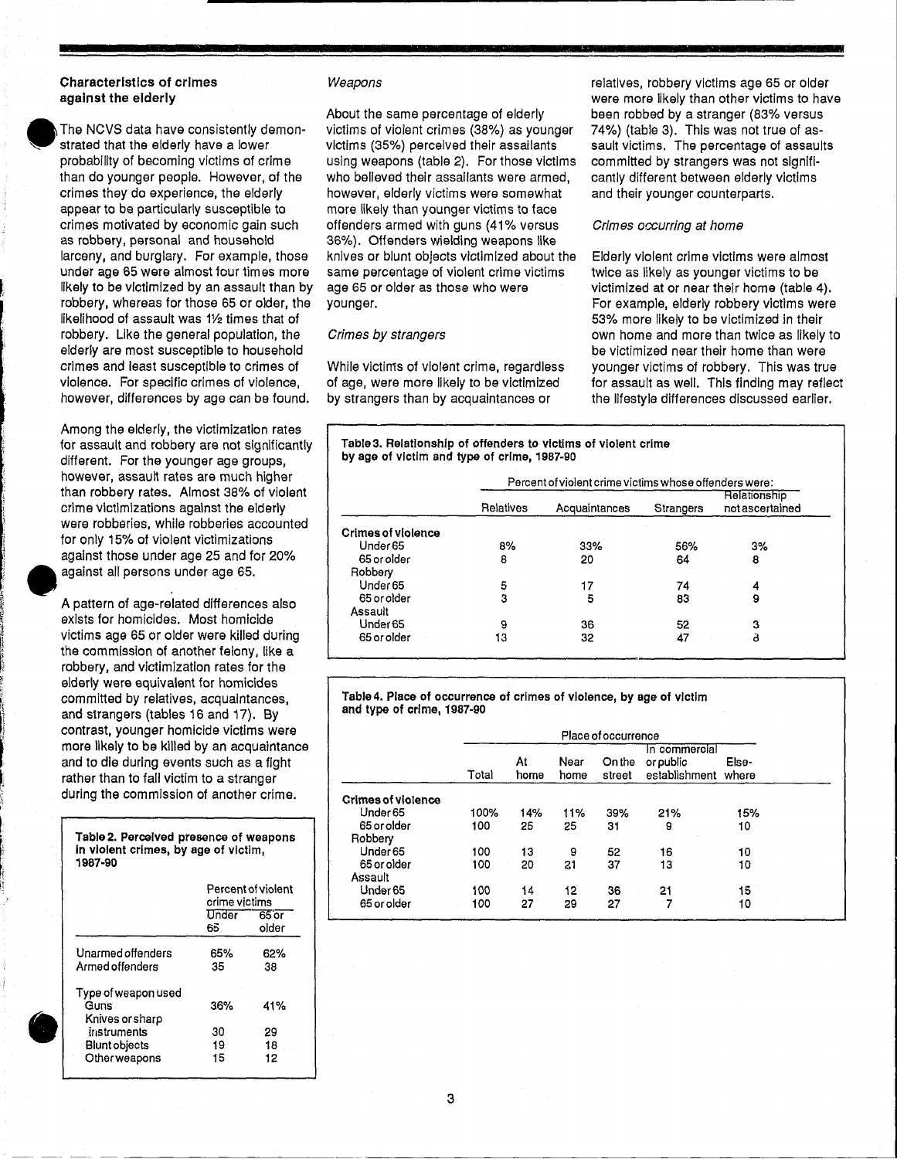#### Characteristics of crimes against the elderly

The NCVS data have consistently demon-<br>strated that the elderly have a lower probability of becoming victims of crime than do younger people. However, of the crimes they do experience, the elderly appear to be particularly susceptible to crimes motivated by economic gain such as robbery, personal and household larceny, and burglary. For example, those under age 65 were almost four times more likely to be victimized by an assault than by robbery, whereas for those 65 or older, the likelihood of assault was 11/2 times that of robbery. Like the general population, the elderly are most susceptible to household crimes and least susceptible to crimes of violence. For specific crimes of violence, however, differences by age can be found.

> Among the elderly, the victimization rates for assault and robbery are not significantly different. For the younger age groups, however, assault rates are much higher than robbery rates. Almost 38% of violent crime victimizations against the elderly were robberies, while robberies accounted for only 15% of violent victimizations against those under age 25 and for 20% against all persons under age 65.

A pattern of age-related differences also exists for homicides. Most homicide victims age 65 or older were killed during the commission of another felony, like a robbery, and victimization rates for the elderly were equivalent for homicides committed by relatives, acquaintances, and strangers (tables 16 and 17). By contrast, younger homicide victims were more likely to be killed by an acquaintance and to die during events such as a fight rather than to fall victim to a stranger during the commission of another crime.

| Table 2. Perceived presence of weapons<br>in violent crimes, by age of victim,<br>1987-90 |               |                    |
|-------------------------------------------------------------------------------------------|---------------|--------------------|
|                                                                                           | crime victims | Percent of violent |
|                                                                                           | Under<br>65.  | $65$ or<br>older   |
| Unarmed offenders<br>Armed offenders                                                      | 65%<br>35     | 62%<br>38          |
| Type of weapon used<br>Guns<br>Knives or sharp                                            | 36%           | 41%                |
| instruments<br><b>Blunt objects</b>                                                       | 30<br>19      | 29<br>18           |
| Other weapons                                                                             | 15            | 12                 |

------ --- --- -- ---------

#### Weapons

About the same percentage of elderly victims of violent crimes (38%) as younger victims (35%) perceived their assailants using weapons (table 2). For those victims who believed their assailants were armed, however, elderly victims were somewhat more likely than younger victims to face offenders armed with guns (41% versus 36%). Offenders wielding weapons like knives or blunt objects victimized about the same percentage of violent crime victims age 65 or older as those who were younger.

#### Crimes by strangers

While victims of violent crime, regardless of age, were more likely to be victimized by strangers than by acquaintances or

relatives, robbery victims age 65 or older were more likely than other victims to have been robbed by a stranger (83% versus 74%) (table 3). This was not true of assault victims. The percentage of assaults committed by strangers was not significantly different between elderly victims and their younger counterparts.

#### Crimes occurring at home

Elderly violent crime victims were almost twice as likely as younger victims to be victimized at or near their home (table 4). For example, elderly robbery victims were 53% more likely to be victimized in their own home and more than twice as likely to be victimized near their home than were younger victims of robbery. This was true for assault as well. This finding may reflect the lifestyle differences discussed earlier.

| Table 3. Relationship of offenders to victims of violent crime |
|----------------------------------------------------------------|
| by age of victim and type of crime, 1987-90                    |

|                           |           | Relationship  |           |                |
|---------------------------|-----------|---------------|-----------|----------------|
|                           | Relatives | Acquaintances | Strangers | notascertained |
| <b>Crimes of violence</b> |           |               |           |                |
| Under <sub>65</sub>       | 8%        | 33%           | 56%       | 3%             |
| 65 or older               | 8         | 20            | 64        | 8              |
| Robbery                   |           |               |           |                |
| Under 65                  | 5         |               | 74        | 4              |
| 65 or older               | 3         | 5             | 83        | 9              |
| Assault                   |           |               |           |                |
| Under <sub>65</sub>       | 9         | 36.           | 52        | з              |
| 65 or older               | 13        | 32            | 47        | ä              |

Table4. Place of occurrence of crimes of violence, by age of victim and type of crime, 1987-90

|                           |       | Place of occurrence |              |                  |                                             |                |  |  |
|---------------------------|-------|---------------------|--------------|------------------|---------------------------------------------|----------------|--|--|
|                           | Total | At<br>home          | Near<br>home | On the<br>street | In commercial<br>or public<br>establishment | Else-<br>where |  |  |
| <b>Crimes of violence</b> |       |                     |              |                  |                                             |                |  |  |
| Under <sub>65</sub>       | 100%  | 14%                 | 11%          | 39%              | 21%                                         | 15%            |  |  |
| 65 or older               | 100   | 25                  | 25           | 31               | 9                                           | 10             |  |  |
| Robbery                   |       |                     |              |                  |                                             |                |  |  |
| Under 65                  | 100   | 13                  | 9            | 52               | 16                                          | 10             |  |  |
| 65 or older               | 100   | 20                  | 21           | 37               | 13                                          | 10             |  |  |
| Assault                   |       |                     |              |                  |                                             |                |  |  |
| Under 65                  | 100   | 14                  | 12           | 36               | 21                                          | 15             |  |  |
| 65 or older               | 100   | 27                  | 29           | 27               |                                             | 10             |  |  |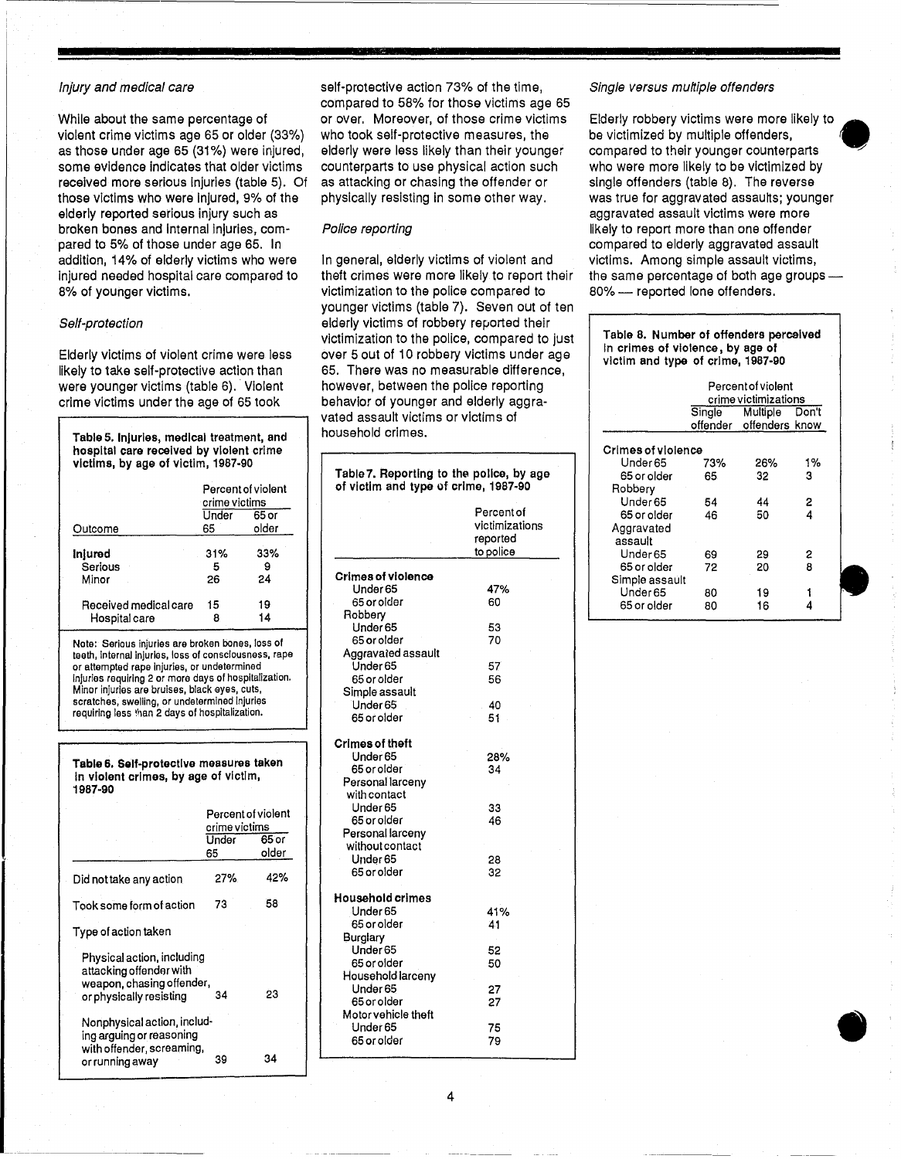#### Injury and medical care

While about the same percentage of violent crime victims age 65 or older (33%) as those under age 65 (31%) were injured, some evidence Indicates that older victims received more serious Injuries (table 5). Of those victims who were Injured, 9% of the elderly reported serious injury such as broken bones and Internal Injuries, compared to 5% of those under age 65. In addition, 14% of elderly victims who were Injured needed hospital care compared to 8% of younger victims.

#### Self-protection

Elderly victims of violent crime were less likely to take self-protective action than were younger victims (table 6). Violent crime victims under the age of 65 took

| Table 5. Injuries, medical treatment, and<br>hospital care received by violent crime<br>victims, by age of victim, 1987-90 |               |                    |  |  |  |  |  |
|----------------------------------------------------------------------------------------------------------------------------|---------------|--------------------|--|--|--|--|--|
|                                                                                                                            |               | Percent of violent |  |  |  |  |  |
|                                                                                                                            | crime victims |                    |  |  |  |  |  |
|                                                                                                                            | Under         | 65 or              |  |  |  |  |  |
| Outcome                                                                                                                    | 65            | older              |  |  |  |  |  |
| Inlured                                                                                                                    | 31%           | 33%                |  |  |  |  |  |
| Serious                                                                                                                    | 5             | 9                  |  |  |  |  |  |
| Minor                                                                                                                      | 26            | 24                 |  |  |  |  |  |
| Received medical care                                                                                                      | 15            | 19                 |  |  |  |  |  |
| Hospital care                                                                                                              | 8             | 14                 |  |  |  |  |  |
|                                                                                                                            |               |                    |  |  |  |  |  |

Note: Serious injuries are broken bones, loss of teeth, Internal injuries, loss of consciousness, rape or attempted rape Injuries, or undetermined injuries requiring 2 or more days of hospitalization. Minor injuries are bruises, black eyes, cuts, scratches, swelling, or undetermined injuries requiring less than 2 days of hospitalization.

Table 6, Self-protectlve measures taken In violent crimes, by age of victim, 1987-90

|                                                                                                               | Percent of violent<br>crime victims<br>Under<br>65 | 65 or<br>older |
|---------------------------------------------------------------------------------------------------------------|----------------------------------------------------|----------------|
| Did not take any action                                                                                       | 27%                                                | 42%            |
| Took some form of action                                                                                      | 73                                                 | 58             |
| Type of action taken                                                                                          |                                                    |                |
| Physical action, including<br>attacking offender with<br>weapon, chasing offender,<br>or physically resisting | 34                                                 | 23             |
| Nonphysical action, includ-<br>ing arguing or reasoning<br>with offender, screaming,<br>or running away       | 39                                                 | 34             |

self-protective action 73% of the time, compared to 58% for those victims age 65 or over. Moreover, of those crime victims who took self-protective measures, the elderly were less likely than their younger counterparts to use physical action such as attacking or chasing the offender or physically resisting in some other way.

#### Police reporting

In general, elderly victims of violent and theft crimes were more likely to report their victimization to the police compared to younger victims (table 7). Seven out of ten elderly victims of robbery reported their victimization to the police, compared to just over 5 out of 10 robbery victims under age 65. There was no measurable difference, however, between the police reporting behavior of younger and elderly aggravated assault victims or victims of household crimes.

| Table 7. Reporting to the police, by age<br>of victim and type of crime, 1987-90 |                                                       |
|----------------------------------------------------------------------------------|-------------------------------------------------------|
|                                                                                  | Percent of<br>victimizations<br>reported<br>to police |
| Crimes of violence                                                               |                                                       |
| Under 65                                                                         | 47%                                                   |
| 65 or older                                                                      | 60                                                    |
| Robbery                                                                          |                                                       |
| Under 65                                                                         | 53                                                    |
| 65 or older                                                                      | 70                                                    |
| Aggravated assault                                                               |                                                       |
| Under 65                                                                         | 57                                                    |
| 65 or older                                                                      | 56                                                    |
| Simple assault                                                                   |                                                       |
| Under 65                                                                         | 40                                                    |
| 65 or older                                                                      | 51                                                    |
| Crimes of theft                                                                  |                                                       |
| Under 65                                                                         | 28%                                                   |
| 65 or older                                                                      | 34                                                    |
| Personal larcenv                                                                 |                                                       |
| with contact                                                                     |                                                       |
| Under 65                                                                         | 33                                                    |
| 65 or older                                                                      | 46                                                    |
| Personal larceny                                                                 |                                                       |
| without contact                                                                  |                                                       |
| Under 65                                                                         | 28                                                    |
| 65 or older                                                                      | 32                                                    |
| Household crimes                                                                 |                                                       |
| Under 65                                                                         | 41%                                                   |
| 65 or older                                                                      | 41                                                    |
| Burglary                                                                         |                                                       |
| Under 65                                                                         | 52                                                    |
| 65 or older                                                                      | 50                                                    |
| Household larcenv                                                                |                                                       |
| Under 65                                                                         | 27                                                    |
| 65 or older                                                                      | 27                                                    |
| Motor vehicle theft                                                              |                                                       |
| Under 65                                                                         | 75                                                    |
| 65 or older                                                                      | 79                                                    |

#### Single versus multiple offenders

Elderly robbery victims were more likely to • be victimized by multiple offenders, compared to their younger counterparts who were more likely to be victimized by single offenders (table 8). The reverse was true for aggravated assaults; younger aggravated assault victims were more likely to report more than one offender compared to elderly aggravated assault victims. Among simple assault victims, the same percentage of both age groups-80% - reported lone offenders.

| Table 8. Number of offenders perceived<br>In crimes of violence, by age of<br>victim and type of crime, 1987-90 |                 |                         |       |  |  |  |  |
|-----------------------------------------------------------------------------------------------------------------|-----------------|-------------------------|-------|--|--|--|--|
|                                                                                                                 |                 | Percent of violent      |       |  |  |  |  |
| crime victimizations                                                                                            |                 |                         |       |  |  |  |  |
|                                                                                                                 | Single Multiple |                         | Don't |  |  |  |  |
|                                                                                                                 |                 | offender offenders know |       |  |  |  |  |
| Crimes of violence                                                                                              |                 |                         |       |  |  |  |  |
| Under 65                                                                                                        | 73%             | 26%                     | 1%    |  |  |  |  |
| 65 or older                                                                                                     | 65              | 32                      | з     |  |  |  |  |
| Robbery                                                                                                         |                 |                         |       |  |  |  |  |
| Under 65                                                                                                        | 54              | 44                      | 2     |  |  |  |  |
| 65 or older                                                                                                     | 46              | 50                      | 4     |  |  |  |  |
| Aggravated                                                                                                      |                 |                         |       |  |  |  |  |

| nyyravalou     |    |    |   |  |
|----------------|----|----|---|--|
| assault        |    |    |   |  |
| Under 65       | 69 | 29 | 2 |  |
| 65 or older    | 72 | 20 | 8 |  |
| Simple assault |    |    |   |  |
| Under 65       | 80 | 19 |   |  |
| 65 or older    | R٨ | 16 |   |  |

 $\bullet$ 

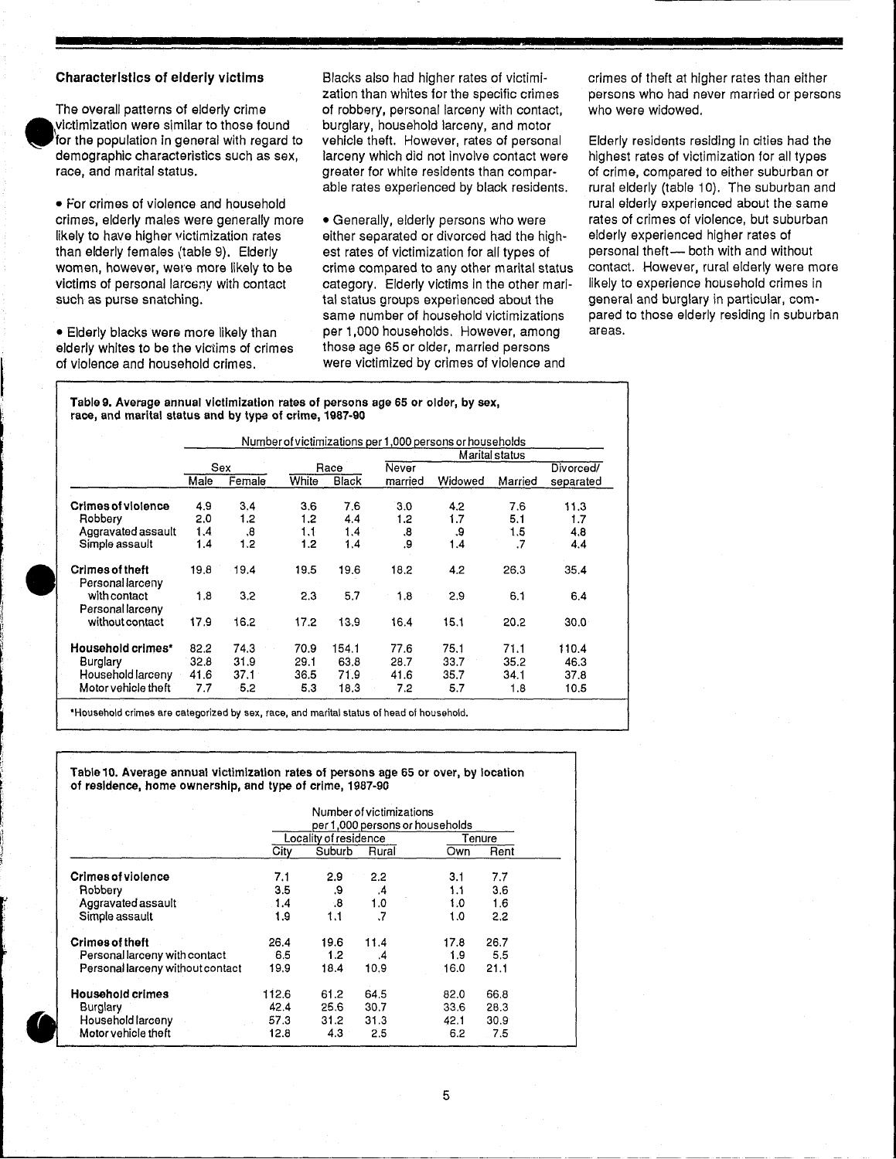#### Characteristics of elderly victims

•

The overall patterns of elderly crime \victimization were similar to those found for the population in general with regard to demographic characteristics such as sex, race, and marital status.

• For crimes of violence and household crimes, elderly males were generally more likely to have higher victimization rates than elderly females {table 9). Elderly women, however, were more likely to be victims of personal larceny with contact such as purse snatching.

• Elderly blacks were more likely than elderly whites to be the victims of crimes of violence and household crimes.

Blacks also had higher rates of victimization than whites for the specific crimes of robbery, personal larceny with contact, burglary, household larceny, and motor vehicle theft. However, rates of personal larceny which did not Involve contact were greater for white residents than comparable rates experienced by black residents.

• Generally, elderly persons who were either separated or divorced had the highest rates of victimization for all types of crime compared to any other marital status category. Elderly victims in the other marital status groups experienced about the same number of household victimizations per 1,000 households. However, among those age 65 or older, married persons were victimized by crimes of violence and

crimes of theft at higher rates than either persons who had never married or persons who were widowed.

Elderly residents residing In cities had the highest rates of victimization for all types of crime, compared to either suburban or rural elderly (table 10). The suburban and rural elderly experienced about the same rates of crimes of violence, but suburban elderly experienced higher rates of personal theft- both with and without contact. However, rural elderly were more likely to experience household crimes in general and burglary in particular, compared to those elderly residing in suburban areas.

Table 9. Average annual victimization rates of persons age 65 or older, by sex, race, and marital status and by type of crime, 1987-90

|                                            |      |         |       |              |         | Number of victimizations per 1,000 persons or households |                |                   |
|--------------------------------------------|------|---------|-------|--------------|---------|----------------------------------------------------------|----------------|-------------------|
|                                            |      |         |       |              |         |                                                          | Marital status |                   |
|                                            |      | Sex     |       | Race         | Never   |                                                          |                | Divorced/         |
|                                            | Male | Female  | White | <b>Black</b> | married | Widowed                                                  | Married        | separated         |
| <b>Crimes of violence</b>                  | 4.9  | 3,4     | 3.6   | 7,6          | 3.0     | 4.2                                                      | 7.6            | 11.3              |
| Robbery                                    | 2.0  | 1.2     | 1.2   | 4.4          | 1.2     | 1.7                                                      | 5.1            | 1.7               |
| Aggravated assault                         | 1.4  | .8      | 1.1   | 1.4          | 8.      | 9.                                                       | 1.5            | 4.8               |
| Simple assault                             | 1.4  | 1,2     | 1.2   | 1.4          | 9.      | 1.4                                                      | $\cdot$ 7      | 4.4               |
| <b>Crimes of theft</b><br>Personal larceny | 19.8 | $-19.4$ | 19.5  | 19.6         | 18.2    | 4.2                                                      | 26.3           | 35.4              |
| with contact<br>Personal larceny           | 1.8  | 3.2     | 2.3   | 5.7          | 1.8     | 2.9                                                      | 6.1            | 6.4               |
| without contact                            | 17.9 | 16.2    | 17.2  | 13.9         | 16.4    | 15.1                                                     | 20.2           | 30.0 <sub>1</sub> |
| Household crimes*                          | 82.2 | 74.3    | 70.9  | 154.1        | 77.6    | 75.1                                                     | 71.1           | 110.4             |
| Burglary                                   | 32.8 | 31.9    | 29.1  | 63.8         | 28.7    | 33.7                                                     | 35.2           | 46.3              |
| Household larceny                          | 41.6 | 37.1    | 36.5  | 71.9         | 41.6    | 35.7                                                     | 34.1           | 37.8              |
| Motor vehicle theft                        | 7.7  | 5.2     | 5.3   | 18.3         | 7.2     | 5.7                                                      | 1.8            | 10.5              |

'Household crimes are categorized by sex, race, and marital status of head of household.

Table 10. Average annual victimization rates of persons age 65 or over, by location of residence, home ownership, and type of crime, 1987-90

|                                  | Number of victimizations<br>per 1,000 persons or households |                       |           |      |        |  |  |
|----------------------------------|-------------------------------------------------------------|-----------------------|-----------|------|--------|--|--|
|                                  |                                                             | Locality of residence |           |      | Tenure |  |  |
|                                  | City                                                        | Suburb                | Rural     | Own  | Rent   |  |  |
| <b>Crimes of violence</b>        | 7.1                                                         | 2.9                   | 2.2       | 3.1  | 7.7    |  |  |
| Robbery                          | 3.5                                                         | .9                    | .4        | 1.1  | 3.6    |  |  |
| Aggravated assault               | 1.4                                                         | .8                    | 1.0       | 1.0  | 1.6    |  |  |
| Simple assault                   | 1.9                                                         | 1.1                   | $\cdot$ 7 | 1.0  | 2.2    |  |  |
| <b>Crimes of theft</b>           | 26.4                                                        | 19.6                  | 11.4      | 17.8 | 26.7   |  |  |
| Personal larceny with contact    | 6.5                                                         | 1.2                   | .4        | 1.9  | 5.5    |  |  |
| Personal larceny without contact | 19.9                                                        | 18.4                  | 10.9      | 16.0 | 21.1   |  |  |
| <b>Household crimes</b>          | 112.6                                                       | 61.2                  | 64.5      | 82.0 | 66.8   |  |  |
| Burglary                         | 42.4                                                        | 25.6                  | 30.7      | 33.6 | 28.3   |  |  |
| Household larceny                | 57.3                                                        | 31.2                  | 31.3      | 42.1 | 30.9   |  |  |
| Motor vehicle theft              | 12.8                                                        | 4.3                   | 2.5       | 6.2  | 7.5    |  |  |

L-\_\_\_\_\_\_\_\_\_\_\_\_\_\_\_\_\_\_\_\_\_\_\_\_\_\_\_\_\_\_\_\_\_\_\_\_\_ \_\_\_ \_ \_\_\_\_ \_\_ \_\_ \_\_\_ \_\_ \_\_ \_ \_\_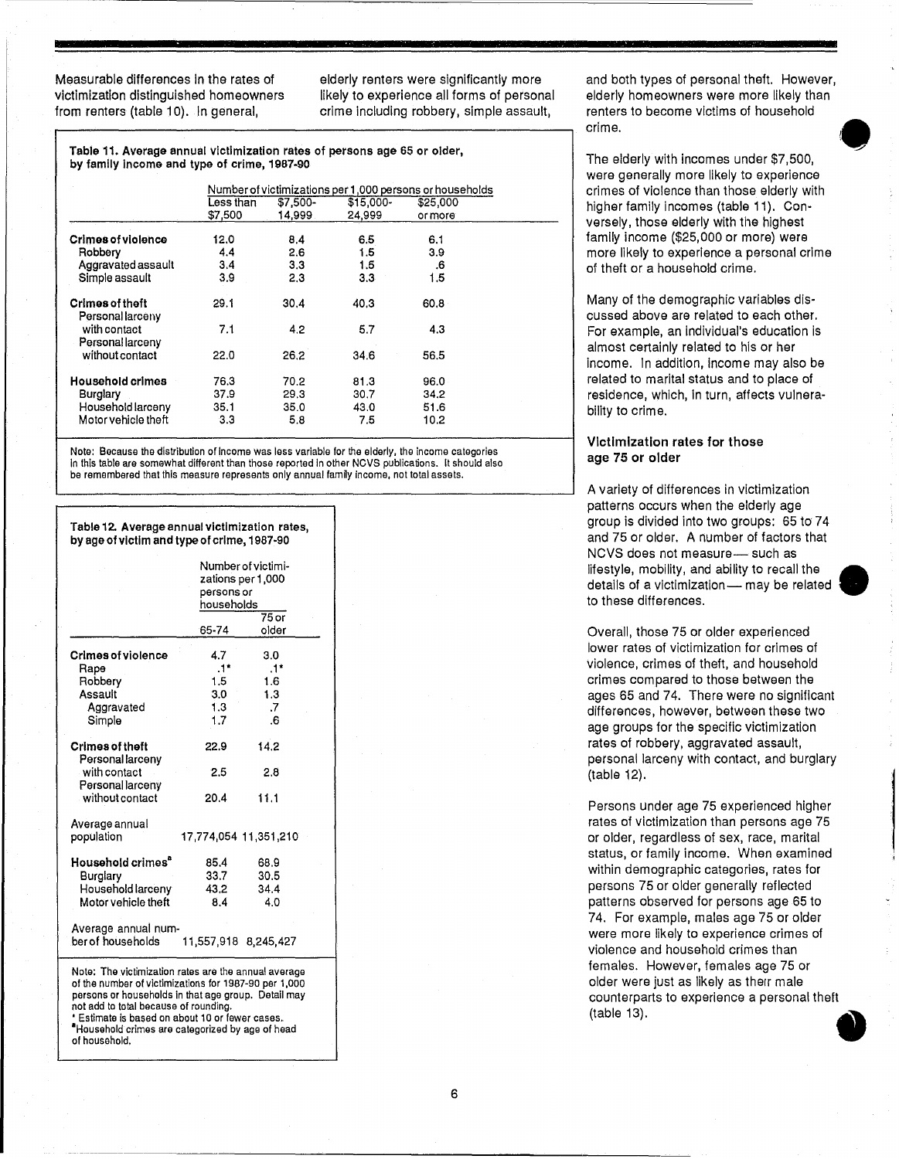Measurable differences In the rates of victimization distinguished homeowners from renters (table 10). In general,

elderly renters were significantly more likely to experience all forms of personal crime including robbery, simple assault,

Table 11. Average annual victimization rates of persons age 65 or older, by family Income and type of crime, 1987-90

|                                            |           |          |            | Number of victimizations per 1,000 persons or households |  |
|--------------------------------------------|-----------|----------|------------|----------------------------------------------------------|--|
|                                            | Less than | \$7,500- | $$15,000-$ | \$25,000                                                 |  |
|                                            | \$7,500   | 14.999   | 24.999     | or more                                                  |  |
| <b>Crimes of violence</b>                  | 12.0      | 8.4      | 6.5        | 6.1                                                      |  |
| Robbery                                    | 4.4       | 2.6      | 1.5        | 3.9                                                      |  |
| Aggravated assault                         | 3.4       | 3.3      | 1.5        | .6                                                       |  |
| Simple assault                             | 3,9       | 2.3      | 3.3        | 1.5                                                      |  |
| <b>Crimes of theft</b><br>Personal larceny | 29.1      | 30.4     | 40.3       | 60.8                                                     |  |
| with contact<br>Personal larceny           | 7.1       | 4.2      | 5.7        | 4.3                                                      |  |
| without contact                            | 22.0      | 26.2     | 34.6       | 56.5                                                     |  |
| <b>Household crimes</b>                    | 76.3      | 70.2     | 81.3       | 96.0 <sub>1</sub>                                        |  |
| Burglary                                   | 37.9      | 29.3     | 30.7       | 34.2                                                     |  |
| Household larceny                          | 35.1      | 35.0     | 43.0       | 51.6                                                     |  |
| Motor vehicle theft                        | 3.3       | 5.8      | 7.5        | 10.2                                                     |  |

Note: Because the distribution of Income was less variable for the elderly, the income categories In this table are somewhat different than those reported In other NCVS publications. It should also be remembered that this measure represents only annual family income, not total assets.

|                                                                                                                                                                                                                                                                                                                     |                          | Number of victimi-<br>2ations per 1,000 |
|---------------------------------------------------------------------------------------------------------------------------------------------------------------------------------------------------------------------------------------------------------------------------------------------------------------------|--------------------------|-----------------------------------------|
|                                                                                                                                                                                                                                                                                                                     | persons or<br>households |                                         |
|                                                                                                                                                                                                                                                                                                                     |                          | $75$ or                                 |
|                                                                                                                                                                                                                                                                                                                     | 65-74                    | older                                   |
| <b>Crimes of violence</b>                                                                                                                                                                                                                                                                                           | 4.7                      | 3.0                                     |
| Rape                                                                                                                                                                                                                                                                                                                | $.1*$                    | $.1*$                                   |
| Robbery                                                                                                                                                                                                                                                                                                             | 1.5                      | 1.6                                     |
| Assault                                                                                                                                                                                                                                                                                                             | 3.0                      | 1.3                                     |
| Aggravated                                                                                                                                                                                                                                                                                                          | 1.3                      | .7                                      |
| Simple                                                                                                                                                                                                                                                                                                              | 1.7                      | 6 <sup>1</sup>                          |
| <b>Crimes of theft</b><br>Personal larceny                                                                                                                                                                                                                                                                          | 22.9                     | 14.2                                    |
| with contact<br>Personal larceny                                                                                                                                                                                                                                                                                    | 2.5                      | 2.8                                     |
| without contact                                                                                                                                                                                                                                                                                                     | 20.4                     | 11.1                                    |
| Average annual<br>population                                                                                                                                                                                                                                                                                        | 17,774,054 11,351,210    |                                         |
| Household crimes <sup>"</sup>                                                                                                                                                                                                                                                                                       | 85.4                     | 68.9                                    |
| Burglary                                                                                                                                                                                                                                                                                                            | 33.7                     | 30.5                                    |
| Household larceny                                                                                                                                                                                                                                                                                                   | 43.2                     | 34.4                                    |
| Motor vehicle theft                                                                                                                                                                                                                                                                                                 | 8.4                      | 4.0                                     |
| Average annual num-<br>ber of households                                                                                                                                                                                                                                                                            | 11,557,918 8,245,427     |                                         |
| Note: The victimization rates are the annual average<br>of the number of victimizations for 1987-90 per 1,000<br>persons or households in that age group. Detail may<br>not add to total because of rounding.<br>* Estimate is based on about 10 or fewer cases.<br>Household crimes are categorized by age of head |                          |                                         |

of household.

#### Table 12. Average annual victimization rates, by age of victim and type of crime, 1987-90

and both types of personal theft. However, elderly homeowners were more likely than renters to become victims of household crime.

The elderly with incomes under \$7,500, were generally more likely to experience crimes of violence than those elderly with higher family incomes (table 11). Conversely, those elderly with the highest family income (\$25,000 or more) were more likely to experience a personal crime of theft or a household crime.

Many of the demographic variables discussed above are related to each other. For example, an individual's education is almost certainly related to his or her Income. In addition, Income may also be related to marital status and to place of residence, which, In turn, affects vulnerability to crime.

#### Victimization rates for those age 75 or older

A variety of differences in victimization patterns occurs when the elderly age group is divided into two groups: 65 to 74 and 75 or older. A number of factors that NCVS does not measure- such as lifestyle, mobility, and ability to recall the • details of a victimization- may be related to these differences.

Overall, those 75 or older experienced lower rates of victimization for crimes of violence, crimes of theft, and household crimes compared to those between the ages 65 and 74. There were no significant differences, however, between these two age groups for the specific victimization rates of robbery, aggravated assault, personal larceny with contact, and burglary (table 12).

Persons under age 75 experienced higher rates of victimization than persons age 75 or older, regardless of sex, race, marital status, or family income. When examined within demographic categories, rates for persons 75 or older generally reflected patterns observed for persons age 65 to 74. For example, males age 75 or older were more likely to experience crimes of violence and household crimes than females. However, females age 75 or older were just as likely as therr male counterparts to experience a personal theft (table 13). •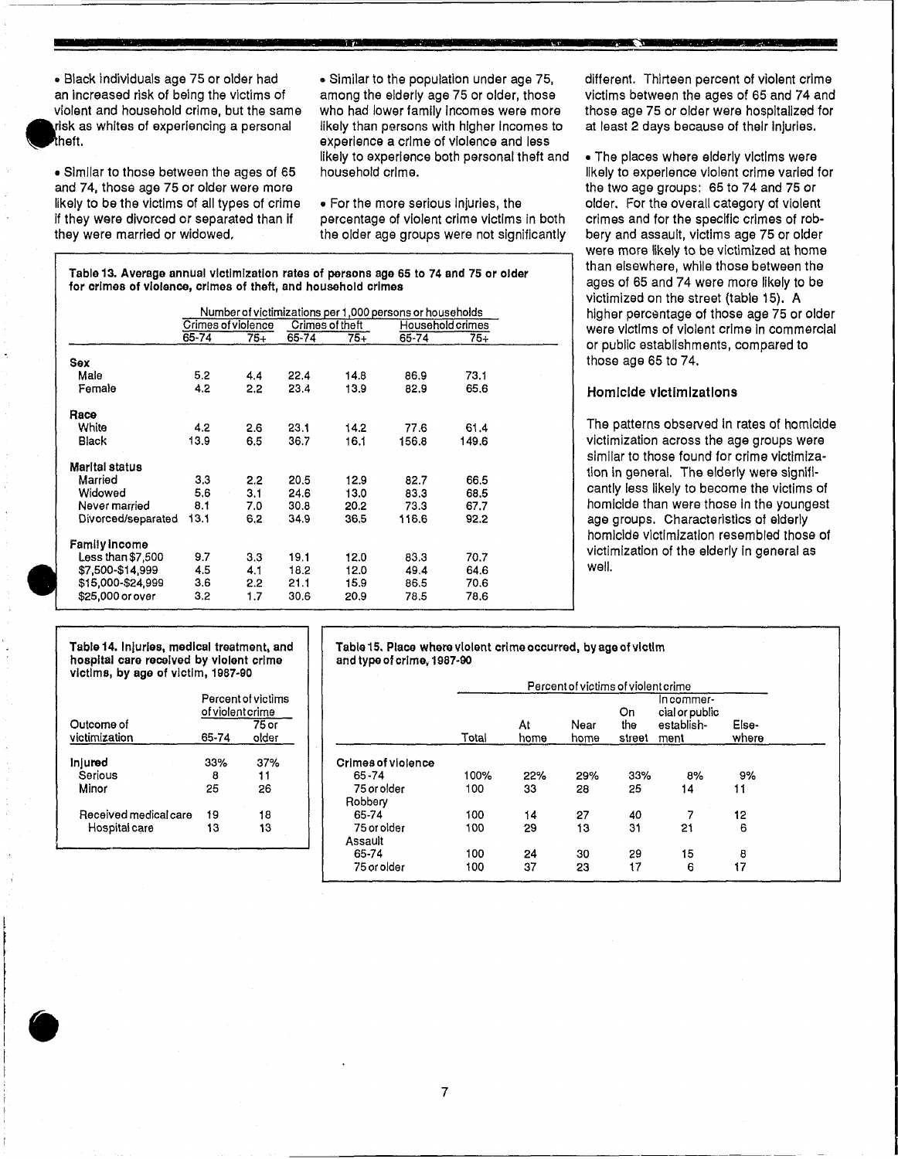**-** • Black Individuals age 75 or older had an increased risk of being the victims of violent and household crime, but the same risk as whites of experiencing a personal heft.

•

• Similar to those between the ages of 65 and 74, those age 75 or older were more likely to be the victims of all types of crime if they Were divorced or separated than if they were married or widowed.

• Similar to the population under age 75, among the elderly age 75 or older, those who had lower family Incomes were more likely than persons with higher Incomes to experience a crime of violence and less likely to experience both personal theft and household crime.

**\*** 

**SA"i** 

• For the more serious injuries, the percentage of violent crime victims In both the older age groups were not significantly

Table 13. Average annual victimization rates of persons age 65 to 74 and 75 or older for crimes of violence, crimes of theft, and household crimes

|                    |       |                    |                 |      | Number of victimizations per 1,000 persons or households |                  |  |
|--------------------|-------|--------------------|-----------------|------|----------------------------------------------------------|------------------|--|
|                    |       | Crimes of violence | Crimes of theft |      |                                                          | Household crimes |  |
|                    | 65-74 | $75 +$             | 65-74           | 75+  | 65-74                                                    | 75–              |  |
| Sex                |       |                    |                 |      |                                                          |                  |  |
| Male               | 5.2   | 4.4                | 22.4            | 14.8 | 86.9                                                     | 73.1             |  |
| Female             | 4.2   | 2.2                | 23.4            | 13.9 | 82.9                                                     | 65.6             |  |
| Race               |       |                    |                 |      |                                                          |                  |  |
| White              | 4,2   | 2.6                | 23.1            | 14.2 | 77.6                                                     | 61.4             |  |
| Black              | 13.9  | 6.5                | 36.7            | 16.1 | 156.8                                                    | 149.6            |  |
| Marital status     |       |                    |                 |      |                                                          |                  |  |
| Married            | 3.3   | 2.2                | 20.5            | 12.9 | 82.7                                                     | 66.5             |  |
| Widowed            | 5.6   | 3.1                | 24.6            | 13.0 | 83.3                                                     | 68.5             |  |
| Never married      | 8.1   | 7.0                | 30.8            | 20.2 | 73.3                                                     | 67.7             |  |
| Divorced/separated | 13.1  | 6,2                | 34.9            | 36,5 | 116.6                                                    | 92.2             |  |
| Family income      |       |                    |                 |      |                                                          |                  |  |
| Less than $$7,500$ | 9.7   | 3.3                | 19.1            | 12.0 | 83.3                                                     | 70.7             |  |
| \$7,500-\$14,999   | 4.5   | 4.1                | 18.2            | 12.0 | 49.4                                                     | 64.6             |  |
| \$15,000-\$24,999  | 3.6   | 2.2                | 21.1            | 15.9 | 86.5                                                     | 70.6             |  |
| \$25,000 or over   | 3.2   | 1.7                | 30.6            | 20.9 | 78.5                                                     | 78.6             |  |

different. Thirteen percent of violent crime victims between the ages of 65 and 74 and those age 75 or older were hospitalized for at least 2 days because of their Injuries.

• The piaces where elderly victims were likely to experience violent crime varied for the two age groups: 65 to 74 and 75 or older. For the overall category of violent crimes and for the specific crimes of robbery and assault, victims age 75 or older were more likely to be victimized at home than elsewhere, while those between the ages of 65 and 74 were more likely to be victimized on the street (table 15). A higher percentage of those age 75 or older were victims of violent crime In commercial or public establishments, compared to those age 65 to 74.

#### Homicide victimizations

The patterns observed in rates of homicide victimization across the age groups were similar to those found for crime victimization in general. The elderly were significantly less likely to become the victims of homicide than were those In the youngest age groups. Characteristics of elderly homicide victimization resembled those of victimization of the elderly in general as well.

.~--.------.

hospital care received by violent crime Victims, by age of victim, 1987-90

|                             | Percent of victims<br>of violent crime |                |                             |
|-----------------------------|----------------------------------------|----------------|-----------------------------|
| Outcome of<br>victimization | 65-74                                  | 75 or<br>older |                             |
| Inlured<br>Serious          | 33%<br>8                               | 37%<br>11      | Crimes of violence<br>65-74 |
| Minor                       | 25                                     | 26             | 75 or older<br>Robbery      |
| Received medical care       | 19                                     | 18             | 65-74                       |
| Hospital care               | 13                                     | 13             | 75 or older<br>Assault      |

**•** 

Table 14. Injuries, medical treatment, and Table 15. Place where violent crime occurred, by age of victim<br>hospital care received by violent crime show and type of crime, 1987-90

| victims, by age or victim, 1967-90 |                           |                                        |                        |       |            | Percent of victims of violent crime |                     |                                                    |                |
|------------------------------------|---------------------------|----------------------------------------|------------------------|-------|------------|-------------------------------------|---------------------|----------------------------------------------------|----------------|
| Outcome of<br>victimization        | of violent crime<br>65-74 | Percent of victims<br>$75$ or<br>older |                        | Total | At<br>home | Near<br>home                        | On<br>the<br>street | In commer-<br>cial or public<br>establish-<br>ment | Else-<br>where |
| <b>Injured</b>                     | 33%                       | 37%                                    | Crimes of violence     |       |            |                                     |                     |                                                    |                |
| Serious                            | 8                         | 11                                     | 65-74                  | 100%  | 22%        | 29%                                 | 33%                 | 8%                                                 | 9%             |
| Minor                              | 25                        | 26                                     | 75 or older<br>Robbery | 100   | 33         | 28                                  | 25                  | 14                                                 | 11             |
| Received medical care              | 19                        | 18                                     | 65-74                  | 100   | 14         | 27                                  | 40                  |                                                    | 12             |
| Hospital care                      | 13                        | 13                                     | 75 or older<br>Assault | 100   | 29         | 13                                  | 31                  | 21                                                 | 6              |
|                                    |                           |                                        | 65-74                  | 100   | 24         | 30                                  | 29                  | 15                                                 | 8              |
|                                    |                           |                                        | 75 or older            | 100   | 37         | 23                                  | 17                  | 6                                                  | 17             |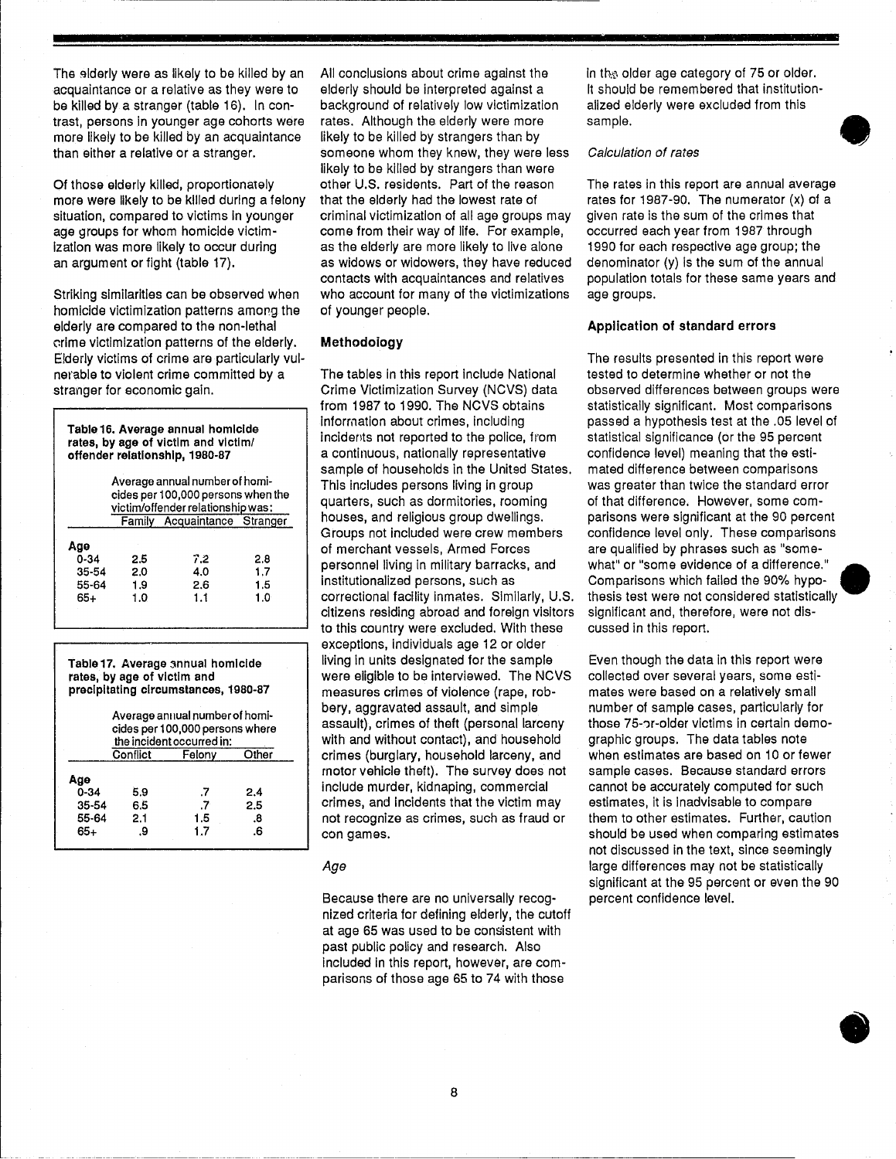The elderly were as likely to be killed by an acquaintance or a relative as they were to be killed by a stranger (table 16). In contrast, persons in younger age cohorts were more likely to be killed by an acquaintance than either a relative or a stranger.

Of those elderly killed, proportionately more were likely to be killed during a felony situation, compared to victims In younger age groups for whom homicide victim-Ization was more likely to occur during an argument or fight (table 17).

Striking similarities can be observed when homicide victimization patterns amorg the elderly are compared to the non-lethal crime victimization patterns of the elderly. Elderly victims of crime are particularly VUlnerable to violent crime committed by a stranger for economic gain.

Table 16. Average annual homicide rates, by age of victim and victim/ offender relationship, 1980-87

|           |     | Average annual number of homi-<br>cides per 100,000 persons when the<br>victim/offender relationship was: |     |
|-----------|-----|-----------------------------------------------------------------------------------------------------------|-----|
|           |     | Family Acquaintance Stranger                                                                              |     |
| Age       |     |                                                                                                           |     |
| $0 - 34$  | 2.5 | 7.2                                                                                                       | 2.8 |
| $35 - 54$ | 2.0 | 4.0                                                                                                       | 1.7 |
| 55-64     | 1.9 | 2.6                                                                                                       | 1.5 |
| 65+       | 1.0 | 1.1                                                                                                       | 1.0 |
|           |     |                                                                                                           |     |

Table 17. Average annual homicide rates, by age of victim and precipitating circumstances, 1980-87

| Average annual number of homi-<br>cides per 100,000 persons where<br>the incident occurred in: |            |           |           |  |  |
|------------------------------------------------------------------------------------------------|------------|-----------|-----------|--|--|
|                                                                                                | Conflict   | Felony    | Other     |  |  |
| Age<br>$0 - 34$                                                                                | 5.9        | .7        | 2.4       |  |  |
| 35-54<br>55-64                                                                                 | 6.5<br>2.1 | .7<br>1.5 | 2.5<br>8. |  |  |
| 65+                                                                                            | .9         | 1.7       | .6        |  |  |

All conclusions about crime against the elderly should be interpreted against a background of relatively low victimization rates. Although the elderly were more likely to be killed by strangers than by someone whom they knew, they were less likely to be killed by strangers than were other U.S. residents. Part of the reason that the elderly had the lowest rate of criminal victimization of all age groups may come from their way of life. For example, as the elderly are more likely to live alone as widows or widowers, they have reduced contacts with acquaintances and relatives who account for many of the victimizations of younger people.

#### Methodology

The tables in this report include National Crime Victimization Survey (NCVS) data from 1987 to 1990. The NCVS obtains Information about crimes, including incidents not reported to the police, from a continuous, nationally representative sample of households in the United States. This includes persons living in group quarters, such as dormitories, rooming houses, and religious group dwellings. Groups not included were crew members of merchant vessels, Armed Forces personnel living In military barracks, and institutionalized persons, such as correctional facility inmates. Similarly, U.S. citizens residing abroad and foreign visitors to this country were excluded. With these exceptions, Individuals age 12 or older living in units designated for the sample were eligible to be interviewed. The NCVS measures crimes of violence (rape, robbery, aggravated assault, and simple assault), crimes of theft (personal larceny with and without contact), and household crimes (burglary, household larceny, and motor vehicle theft). The survey does not include murder, kidnaping, commercial crimes, and Incidents that the victim may not recognize as crimes, such as fraud or con games.

#### Age

Because there are no universally recognized criteria for defining elderly, the cutoff at age 65 was used to be consistent with past public policy and research. Also Included In this report, however, are comparisons of those age 65 to 74 with those

in the older age category of 75 or older. It should be remembered that institutionalized elderly were excluded from this sample.

#### Calculation of rates

The rates in this report are annual average rates for 1987-90. The numerator (x) of a given rate is the sum of the crimes that occurred each year from 1987 through 1990 for each respective age group; the denominator (y) Is the sum of the annual population totals for these same years and age groups. **•** 

#### Application of standard errors

The results presented in this report were tested to determine whether or not the observed differences between groups were statistically significant. Most comparisons passed a hypothesis test at the .05 level of statistical significance (or the 95 percent confidence level) meaning that the estimated difference between comparisons was greater than twice the standard error of that difference. However, some comparisons were significant at the 90 percent confidence level only. These comparisons are qualified by phrases such as "some what" or "some evidence of a difference." Comparisons which failed the 90% hypothesis test were not considered statistically significant and, therefore, were not discussed in this report.

Even though the data in this report were collected over several years, some estimates were based on a relatively small number of sample cases, particularly for those 75-or-older victims in certain demographic groups. The data tables note when estimates are based on 10 or fewer sample cases. Because standard errors cannot be accurately computed for such estimates, it is inadvisable to compare them to other estimates. Further, caution should be used when comparing estimates not discussed in the text, since seemingly large differences may not be statistically significant at the 95 percent or even the 90 percent confidence level.

**•**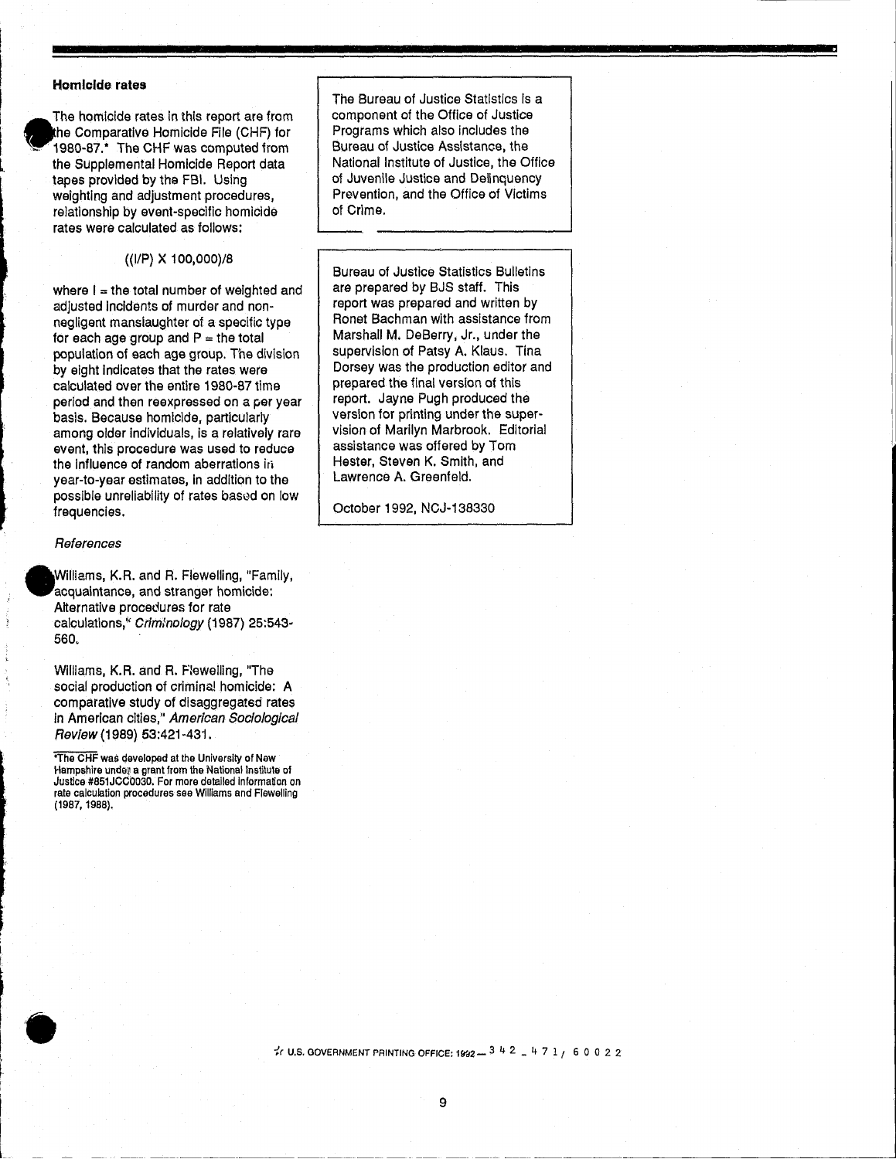#### **Homicide rates**

I

I  $\mathbf{r}$ 

I I L

ا<br>ا

The homicide rates in this report are from he Comparative Homicide File (CHF) for ~.. 1980-87.\* The CHF was computed from the Supplemental Homicide Report data tapes provided by the FBI. Using weighting and adjustment procedures. relationship by event-specific homicide rates were calculated as follows:

((liP) X 100,000)/8

where  $I =$  the total number of weighted and adjusted Incidents of murder and nonnegligent manslaughter of a specific type for each age group and  $P =$  the total population of each age group. The division by eight Indicates that the rates were calculated over the entire 1980-87 time period and then reexpressed on a per year basis. Because homicide, particularly among older individuals, is a relatively rare event, this procedure was used to reduce the influence of random aberrations in year-to-year estimates, in addition to the possible unreliability of rates based on low frequencies.

#### **References**

•

Williams, K.R. and R. Flewelling, "Family, acquaintance, and stranger homicide: Alternative procedures for rate calculations," Criminology (1987) 25:543-560.

Williams, K.R. and R. Flewelling, "The social production of crimina! homicide: A comparative study of disaggregated rates in American cities," American Sociological Review (1989) 53:421-431.

'The CHF was developed at the University of New Hampshire unde» a grant from the National Institute of Justice #851JCC0030. For more detailed information on rate calculation procedures see Williams and Flewelling (1987, 1988).

The Bureau of Justice Statistics Is a component of the Office of Justice Programs which also includes the Bureau of Justice Assistance, the National Institute of Justice, the Office of Juvenile Justice and Delinquency Prevention, and the Office of Victims of Crime.

Bureau of Justice Statistics Bulletins are prepared by BJS staff. This report was prepared and written by Ronet Bachman with assistance from Marshall M. DeBerry, Jr., under the supervision of Patsy A. Klaus. Tina Dorsey was the production editor and prepared the final version of this report. Jayne Pugh produced the version for printing under the supervision of Marilyn Marbrook. Editorial assistance was offered by Tom Hester, Steven K. Smith, and Lawrence A. Greenfeld.

October 1992, NCJ-138330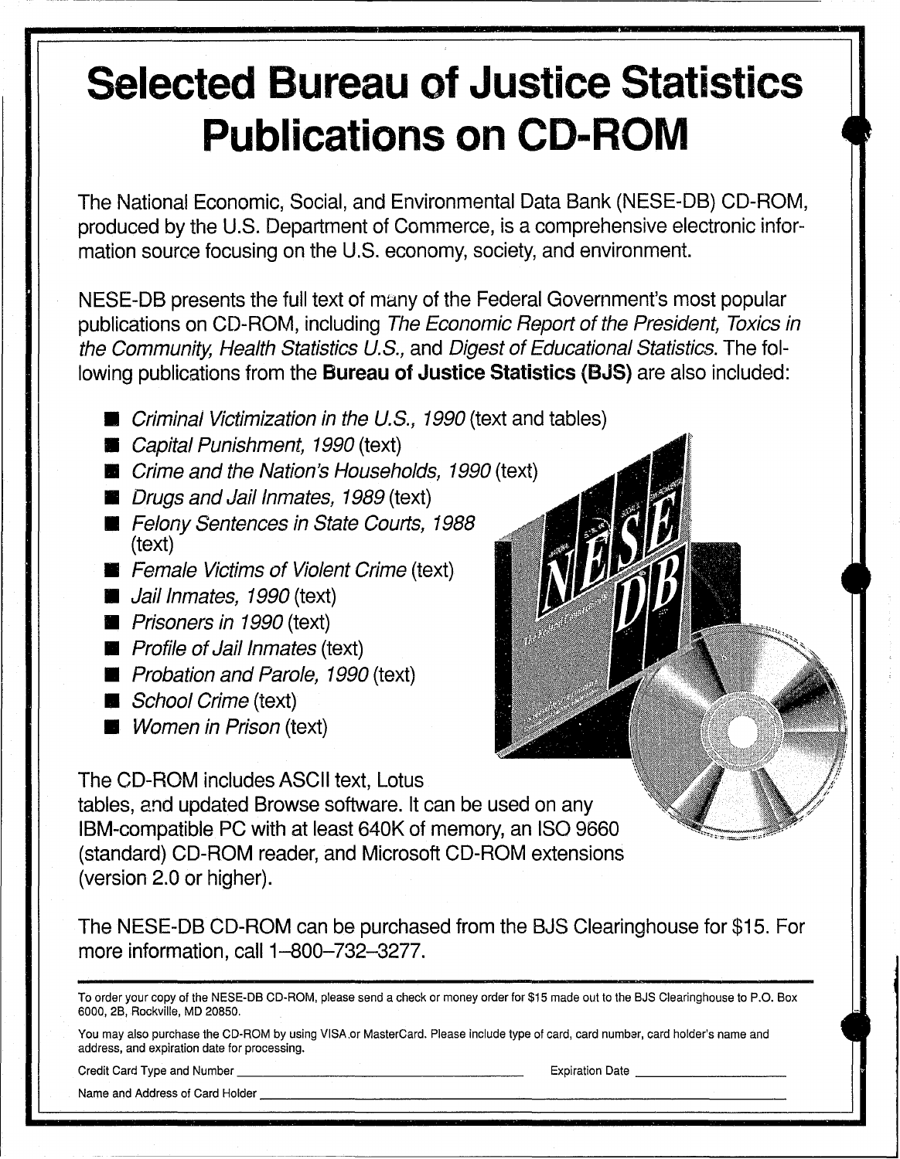# **Selected Bureau of Justice Statistics Publications on CD-ROM**

The National Economic, Social, and Environmental Data Bank (NESE-DB) CD-ROM, produced by the U.S. Department of Commerce, is a comprehensive electronic information source focusing on the U.S. economy, society, and environment.

NESE-DB presents the full text of many of the Federal Government's most popular publications on CD-ROM, including The Economic Report of the President, Toxics in the Community, Health Statistics U.S., and Digest of Educational Statistics. The following publications from the **Bureau of Justice Statistics** (8JS) are also included:

- **E** Criminal Victimization in the U.S., 1990 (text and tables)
- **EXEC** Capital Punishment, 1990 (text)
- **E** Crime and the Nation's Households, 1990 (text)
- **Drugs and Jail Inmates, 1989 (text)**
- **E** Felony Sentences in State Courts, 1988 (text)
- **Female Victims of Violent Crime (text)**
- **Jail Inmates, 1990 (text)**
- **Prisoners in 1990 (text)**
- **Profile of Jail Inmates (text)**
- **Probation and Parole, 1990 (text)**
- **School Crime (text)**
- **Women in Prison (text)**

The CD-ROM includes ASCII text, Lotus tables, and updated Browse software. It can be used on any IBM-compatible PC with at least 640K of memory, an ISO 9660 (standard) CD-ROM reader, and Microsoft CD-ROM extensions (version 2.0 or higher).

The NESE-DB CD-ROM can be purchased from the BJS Clearinghouse for \$15. For more information, call 1-800-732-3277.

|                                | To order your copy of the NESE-DB CD-ROM, please send a check or money order for \$15 made out to the BJS Clearinghouse to P.O. Box |
|--------------------------------|-------------------------------------------------------------------------------------------------------------------------------------|
| 6000, 2B, Rockville, MD 20850. |                                                                                                                                     |

You may also purchase the CD-ROM by using VISA.or MasterCard. Please include type of card, card numbar, card holder's name and address, and expiration date for processing. Credit Card Type and Number \_\_\_\_\_\_\_\_\_\_\_ \_ Expiration Date \_\_\_\_\_ \_

Name and Address of Card Holder \_\_\_\_\_\_\_\_\_\_\_\_\_\_\_\_\_\_\_\_\_ \_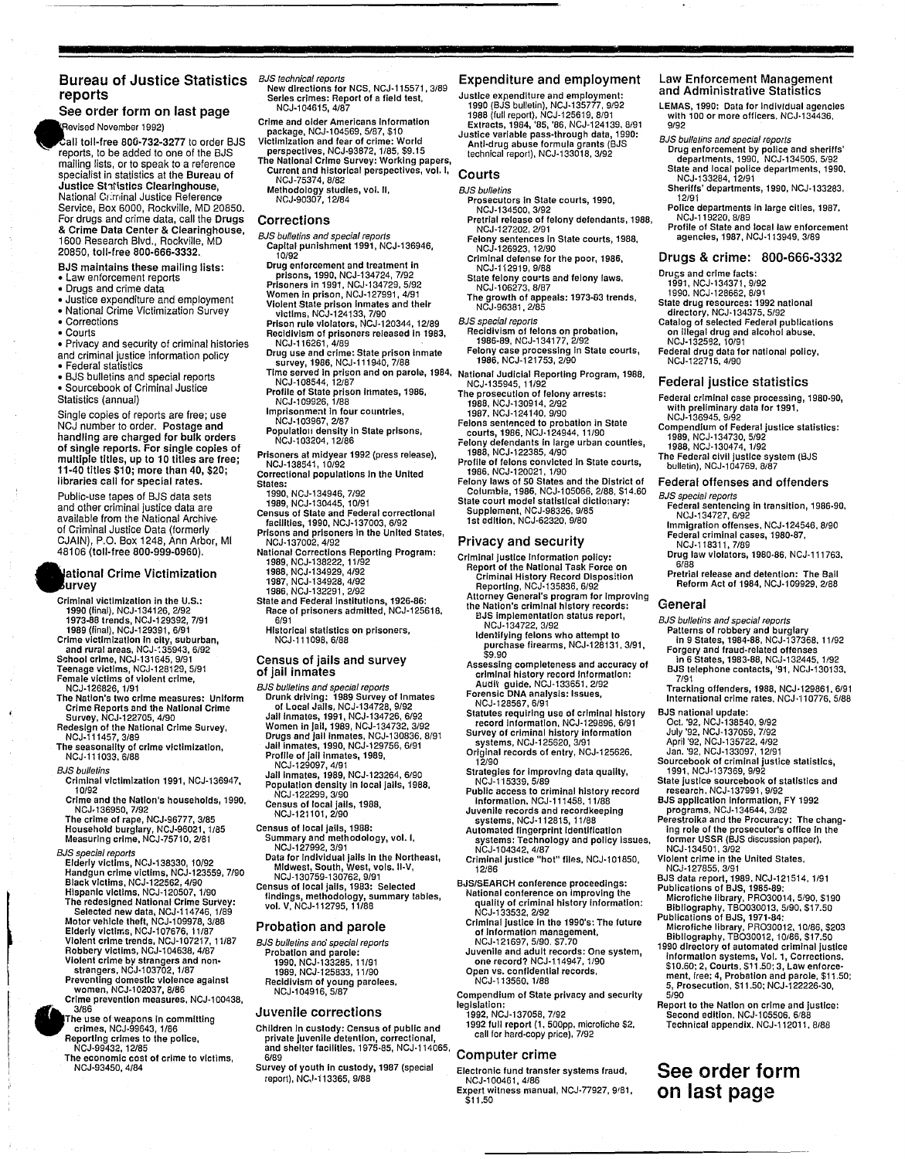#### Bureau of Justice Statistics BJS technical reports reports

#### See order form on last page levised November 1992)

 $c$ all toll-free 800-732-3277 to order BJS reports, to be added to one of the BJS mailing lists, or to speak to a reference specialist in statistics at the Bureau of Justice St1tistics Clearinghouse, National CI ;rninal Justice Reference Service, Box 6000, Rockville, MD 20850. For drugs and crime data, call the Drugs & Crime Data Center & Clearinghouse, 1600 Research Blvd., Rockville, MD 20850, toll-free 800-666-3332.

- BJS maintains these mailing lists:
- Law enforcement reports
- Drugs and crime data
- Justice expenditure and employment
- National Crime Victimization Survey
- Corrections
- Courts

• Privacy and security of criminal histories and criminal justice information policy

• Federal statistics

• BJS bulletins and special reports • Sourcebook of Criminal Justice Statistics (annual)

Single copies of reports are free; use NCJ number to order. Postage and handling are charged for bulk orders of single reports. For single copies of multiple titles, up to 10 titles are free; 11-40 titles \$10; more than 40, \$20; libraries call for special rates.

Public-use tapes of BJS data sets and other criminal justice data are available from the National Archiveof Ciiminal Justice Data (formerly CJAIN), P.O. Box 1248, Ann Arbor, MI 48106 (toll-free 800-999-0960).

#### ational Crime Victimization urvey

- Criminal victimization in the U.S.: 1990 (final), NCJ-134126, 2/92 1973-88 trends, NCJ-129392, 7/91 1989 (final), NCJ-129391, 6/91
- Crime victimization in city, suburban,<br> and rural areas, NCJ-135943, 6/92<br>School crime, NCJ-131645, 9/91<br>Teenage victims, NCJ-128129, 5/91 Female victims of violent crime,<br>NCJ-126826, 1/91
- The Nation's two crime measures: Uniform Crime Reports and the National Crime Survey, NCJ-122705, 4/90
- Redesign of the National Crime Survey, NCJ-111457,3/89
- The seasonality of crime victimization, NCJ-l11033, 6/88
- **BJS** bulletins

•

 $\epsilon$ 

•

Criminal Victimization 1991, NCJ-136947, 10/92

Crime and the Nation's households, 1990,

NCJ-136950, 7/92<br>The crime of rape, NCJ-96777, 3/85<br>Household burglary, NCJ-96021, 1/85<br>Measuring crime, NCJ-75710, 2/81

BJS special reports Elderly victims, NCJ-138330, 10/92 Handgun crime victims, NCJ-123559, 7/90 Black victims, NCJ-122562, 4/90<br>Hispanic victims, NCJ-120507, 1/90

Hispanic victims, NCJ-120507, 1/90<br>The redesigned National Crime Survey:<br>
Selected new data, NCJ-114746, 1/89<br>
Motor vehicle theft, NCJ-109978, 3/88<br>
Elderly victims, NCJ-107676, 11/87<br>
Violent crime trends, NCJ-107217, 11

The use of weapons In committing crimes, NCJ-99643, 1/86

- Reporting crimes to the police, NCJ-99432, 12/85
- The economic cost of crime to victims, NCJ-93450, 4/84

- New directions for NCS, NCJ-115571, 3/89 Series crimes: Report of a field test, NCJ·l04615,4/87
- Crime and older Americans Information package, NCJ-l04569, 5/87, \$10
- Victimization and fear of crime: World perspectives, NCJ-93872, 1/85, \$9.15
- The National Crime Survey: Working papers, Current and historical perspectives, vol. I,
- NCJ-75374,8/82
- Methodology studies, vol. II, NCJ-90307, 12/84

#### **Corrections**

- BJS bulletins and special reports Capital punishment 1991, NCJ-136946, 10/92
- Drug enforcement and treatment in prisons, 1990, NCJ-134724, 7/92 Prisoners In 1991, NCJ-134729, 5/92
- 
- Women in prison, NCJ-127991, 4/91<br>Violent State prison Inmates and their<br>- victims, NCJ-124133, 7/90<br>Prison rule violators, NCJ-120344, 12/89
- 
- 
- Recidivism of prisoners released in 1983,<br>NCJ-116261, 4/89<br>Drug use and crime: State prison inmate<br>survey, 1986, NCJ-111940, 7/88<br>Time served in prison and on parole, 1984,<br>NCJ-108544, 12/87<br>Profille of State prison inmate
- 
- Imprisonment In four countries,
- 
- NCJ·l03967,2/87 Populatioli density In State prisons,
- NCJ-l03204,12/86 Prisoners at midyear 1992 (press release),
- NCJ-138541,10/92 Correctional populations in the United
- States: 1990, NCJ-134946, 7/92
- 1989, NCJ-130445, 10/91
- Census of State and Federal correctional facilities, 1990, NCJ·137003, 6/92
- 
- Prisons and prisoners in the United States, NCJ·137002, 4/92
- National Corrections Reporting Program: 1989, NCJ-138222, 11/92 1988, NCJ·134929, 4/92
- 1987, NCJ-134928, 4/92 1986, NCJ·132291, 2/92
- State and Federal institutions, 1926-86; Race of prisoners admitted, NCJ-125618,
- 6/91 Historical statistics on prisoners, NCJ-ll1098,6/88
- Census of jails and survey of jail inmates
- 
- BJS bulletins and special reports Drunk driving: 1989 Survey of Inmates of Local Jails, NCJ-134728, 9/92 Jail Inmates, 1991, NCJ-134726, 6/92 Women In Jail, 1989, NCJ-134732, 3/92
- Drugs and jail Inmates, NCJ·130836, 8/91 Jail Inmates, 1990, NCJ·129756, 6191 Profile of jail Inmates, 1989, NCJ-129097,4/91
- 
- Jail Inmates, 1989, NCJ-123264, 6/90 Population density In local Jails, 1988,
- NCJ-122299,3/90 Census of local Jails, 1988, NCJ·121101,2/90
- Census of local Jails, 1988: Summary and methodology, vol. I,
- NCJ-127992,3/91
- Data for Individual Jails In the Northeast, Midwest, South, West, vols. II-V, NCJ-130759-130762,9/91
- Census of local Jails, 1983: Selected findings, methodology, summary tables, vol. V, NCJ-112795, 11/88

#### Probation and parole

BJS bulletins and special reports Probation and parole: 1990, NCJ·133285, 11/91 1989, NCJ·125833, 11/90 Recidivism of young parolees, NCJ·l04916,5/87

#### Juvenile corrections

- Children In custody: Census of public and private Juvenile detention, correctional, and shelter facilities, 1975·85, NCJ-114065,
- 6/89 Survey of youth In custody, 1987 (special report), NC,J·113365, 9/88

#### Expenditure and employment

Law Enforcement Management and Administrative Statistics LEMAS, 1990: Data for Individual agencies with 100 or more officers. NCJ·134436.

Drug enforcement by police and sheriffs' departments, 1990, NCJ-134505, 5/92 State and local police departments, 1990. NCJ·133284,12/91 Sheriffs' departments, 1990, NCJ·133283.

Police departments in large cities, 1987.

State drug resources: 1992 national directory, NCJ·134375, 5/92 Catalog of selected Federal publications on Illegal drug and alcohol abuse, NCJ·1325g2,10/91 Federal drug data for national policy, NCJ·122715,4/90 Federal justice statistics

Federal criminal case processing, 1980·90, with preliminary data for 1991,

Compendium of Federal justice statistics:

Federal sentencing in transition, 1986·90, NCJ-134727,6/92 Immigration offenses, NCJ-124546, 8/90 Federal criminal cases, 1980·87,

Drug law violators, 1980-86, NCJ-111763, 6/88 Pretrial release and detention: The Ball Reform Act of 1984, NCJ·l09929. 2188

BJS bulletins and special reports Patterns of robbery and burglary in 9 States, 1984·88. NCJ·137368. 11/92 Forgery and fraud-related offenses

in 6 States, 1983·88, NCJ-132445, 1/92 BJS telephone contacts, '91, NCJ·130133, 7/91 Tracking offenders, 1988, NCJ-129861. 6/91 International crime rates, NCJ-110776, 5/88

Jan. '92, NCJ-133097, 12/91<br>Sourcebook of criminal justice statistics,

State justice sourcebook of statistics and exace jashee search.com<br>research. NCJ-137991, 9/92<br>BJS application information. FY 1992

BJS application information, FY 1992 programs, NCJ·134644, 3/92 Perestroika and the Procuracy: The chang-Ing role of the prosecutor's office in the former USSR (BJS discussion paper).

BJS data report, 1989, NCJ-121514, 1/91<br>Publications of BJS, 1985-89:<br>Microfiche library, PRO30014, 5/90, \$190<br>Bibliography, TBO030013, 5/90, \$17.50<br>Publications of BJS, 1971-84:<br>Microfiche library, PRO30012, 10/86, \$203<br>B

1990 directory of automated criminal justice information systems, Vol. 1, Corrections, \$10.60; 2, Courts, \$11.50; 3, Law enforce· ment, Iree; 4, Probation and parole, \$11.50; 5, Prosecution, \$11.50; NCJ·122226-30,

Report to the Nation on crime and iustice: Second edillon, NCJ·l05506. 6/88 Technical appendix. NCJ·112011, 8/88

**See order form on last page** 

Violent crime In the United States, NCJ·127855,3/91

The Federal civil justice system (8JS bulletin), NCJ·104769, 8187 Federal offenses and offenders

Profile of State and local law enforcement agencies, 1987, NCJ-113949, 3/89 Drugs & crime: 800·666·3332

BJS bulletins and special reporls

NCJ·119220. 8/89

Drugs and crime facts: 1991, NCJ·134371, 9/92 1990. NCJ-128662, 8/91

NCJ-136945, 9192

BJS special reports

General

BJS national update; Oct. '92, NCJ-138540, 9/92 July '92, NCJ-137059, 7/92 April '92, NCJ·135722, 4/92

NCJ-134501, 3/92

5/90

1991, NCJ·137369, 9/92

1989, NCJ·134730, 5/92 1988, NCJ·130474, 1/92

NCJ·118311,7/89

9/92

12/91

- Justice expenditure and employment: 1990 (BJS bulletin), NCJ-135777, 9/92 1988 (full report), NCJ·125619, 8/91 Extracts, 1984, '85, '86, NCJ-124139, 8191 Justice variable pass·through data, 1990:
- Anti·drug abuse formula grants (BJS technical report), NCJ-133018, 3/92

#### Courts

- **BJS** bulletins Prosecutors In State courts, 1990,
	- NCJ·134500, 3/92
- Pretrial release of felony defendants, 1988, NCJ·127202,2191 Felony sentences in State courts, 1988,
- NCJ·126923, 12/90 Criminal defense for the poor, 1986,
- NCJ·112919,9/88
- State felony courts and felony laws,<br>MCJ-106273, 8/87<br>The growth of appeals: 1973-83 trends,<br>MCJ-96381, 2/85
- 
- 
- BJS special reports Recidivism of felons on probation, 1986·89, NCJ·134177, 2192 Felony case processing In State courts, 1986, NCJ-121753, 2/90
- 
- National Judicial Reporting Program, 1988, NCJ·135945,11/92
- 
- 
- The prosecution of felony arrests:<br>1988, NCJ·130914, 2/92<br>Felons sentenced to probation in State<br>Felons sentenced to probation in State<br>courts, 1986, NCJ·124944, 11/90<br>Felony defendants in large urban counties,
- 1988, NCJ-122385, 4/90 Profile of felons convicted in State courts,
- 
- 1986, NCJ·120021, 1/90 Felony laws of 50 States and the District of Columbla,1986, NCJ·l05066, 2/88, \$14.60 State court model statistical dictionary: Supplement, NCJ·98326, 9/85 1 st edition, NCJ·62320, 9/80

Report of the National Task Force on Criminal History Record Dlspos!tloli Reporting, NCJ-135836, 6/92 Attorney General's program for Improving the Nation's criminal history records: BJS Implementation status report,

Identifying felons who attempt to purchase firearms, NCJ·128131, 3/91, \$9.90 Assessing completeness and accuracy of criminal history record Information: Audit guide, NCJ·133651. 2/92 Forensic DNA analysis: Issues, NCJ-128567,6/91

Statutes requiring use of criminal history record Information, NCJ·129896, 6/91 Survey of criminal history Information systems, NCJ·125620, 3/91 Original records of entry, NCJ-125626,

Strategies for Improving data quality,

BJS/SEARCH conference proceedings: National conference on Improving the quality of criminal history Information: NCJ·133532, 2/92 Criminal justice In the 1990's: The future

of Information management, NCJ·121697, 5/90. \$7.70 Juvenile and adult records: One system, one record? NCJ-114947, 1/90

Open vs. confidential records, NCJ·113560.1/88 Compendium of State privacy and security

1992 full report (1. 500pp, microfiche \$2. call for hard-COpy price), 7/92

Electronic fund transfer systems fraud, NCJ-l00461,4186 Expert witness manual, NCJ·77927, 9/81,

legislation: 1992. NCJ·137058, 7/92

Computer crime

\$11.50

Public access to criminal history record Information, NCJ-111458, 11/88 Juvenile records and recordkeeplng systems, NCJ·112815,11/88 Automated fingerprint Identification systems: Technology and policy Issues, NCJ-l 04342, 4/87 Criminal justice "hot" files, NCJ-101850,

#### Privacy and security

NCJ·134722, 3/92

12190

12186

NCJ-115339.5189

Criminal justice Information policy: